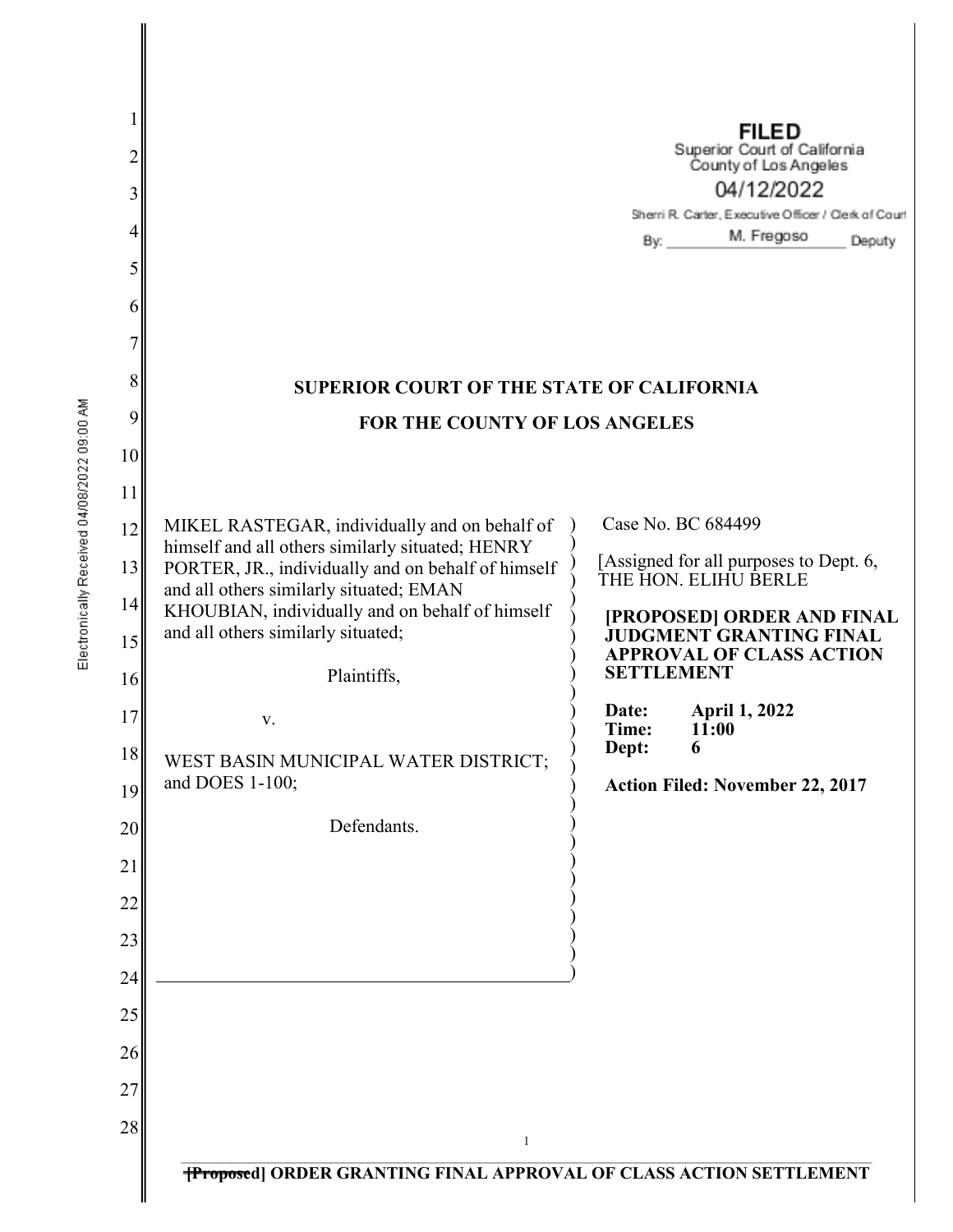| $\overline{2}$<br>3<br>4<br>5<br>6<br>7<br>8 | <b>SUPERIOR COURT OF THE STATE OF CALIFORNIA</b>                                                  | <b>FILED</b><br>Superior Court of California<br>County of Los Angeles<br>04/12/2022<br>Sherri R. Carter, Executive Officer / Clerk of Court<br>By: _________ M. Fregoso<br>Deputy |
|----------------------------------------------|---------------------------------------------------------------------------------------------------|-----------------------------------------------------------------------------------------------------------------------------------------------------------------------------------|
| 9                                            | FOR THE COUNTY OF LOS ANGELES                                                                     |                                                                                                                                                                                   |
| 10                                           |                                                                                                   |                                                                                                                                                                                   |
| 11                                           |                                                                                                   |                                                                                                                                                                                   |
| 12                                           | MIKEL RASTEGAR, individually and on behalf of<br>himself and all others similarly situated; HENRY | Case No. BC 684499                                                                                                                                                                |
| 13                                           | PORTER, JR., individually and on behalf of himself                                                | [Assigned for all purposes to Dept. 6,<br>THE HON. ELIHU BERLE                                                                                                                    |
| 14                                           | and all others similarly situated; EMAN<br>KHOUBIAN, individually and on behalf of himself        | [PROPOSED] ORDER AND FINAL                                                                                                                                                        |
| 15<br>16                                     | and all others similarly situated;<br>Plaintiffs,                                                 | <b>JUDGMENT GRANTING FINAL</b><br><b>APPROVAL OF CLASS ACTION</b><br><b>SETTLEMENT</b>                                                                                            |
| 17                                           | V.                                                                                                | <b>April 1, 2022</b><br>Date:                                                                                                                                                     |
| 18                                           | WEST BASIN MUNICIPAL WATER DISTRICT;                                                              | Time:<br>11:00<br>Dept:<br>6                                                                                                                                                      |
| 19                                           | and DOES 1-100;                                                                                   | Action Filed: November 22, 2017                                                                                                                                                   |
| 20                                           | Defendants.                                                                                       |                                                                                                                                                                                   |
| 21                                           |                                                                                                   |                                                                                                                                                                                   |
| 22                                           |                                                                                                   |                                                                                                                                                                                   |
| 23                                           |                                                                                                   |                                                                                                                                                                                   |
| 24                                           |                                                                                                   |                                                                                                                                                                                   |
| 25                                           |                                                                                                   |                                                                                                                                                                                   |
| 26                                           |                                                                                                   |                                                                                                                                                                                   |
| 27                                           |                                                                                                   |                                                                                                                                                                                   |
| 28                                           | $\mathbf{1}$                                                                                      |                                                                                                                                                                                   |
|                                              | <b>TProposed   ORDER GRANTING FINAL APPROVAL OF CLASS ACTION SETTLEMENT</b>                       |                                                                                                                                                                                   |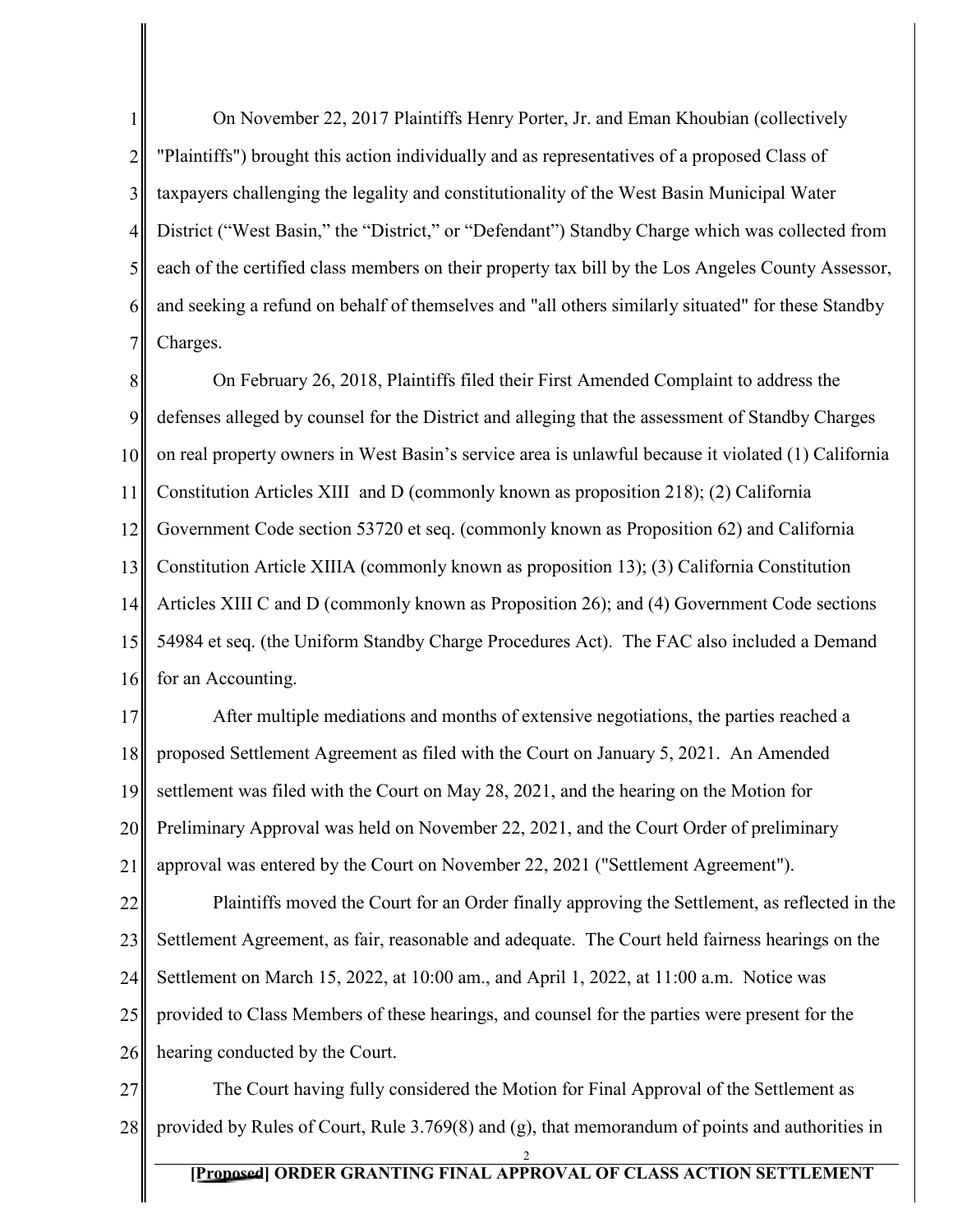1 2 3 4 5 6 7 On November 22, 2017 Plaintiffs Henry Porter, Jr. and Eman Khoubian (collectively "Plaintiffs") brought this action individually and as representatives of a proposed Class of taxpayers challenging the legality and constitutionality of the West Basin Municipal Water District ("West Basin," the "District," or "Defendant") Standby Charge which was collected from each of the certified class members on their property tax bill by the Los Angeles County Assessor, and seeking a refund on behalf of themselves and "all others similarly situated" for these Standby Charges.

8 9 10 11 12 13 14 15 16 On February 26, 2018, Plaintiffs filed their First Amended Complaint to address the defenses alleged by counsel for the District and alleging that the assessment of Standby Charges on real property owners in West Basin's service area is unlawful because it violated (1) California Constitution Articles XIII and D (commonly known as proposition 218); (2) California Government Code section 53720 et seq. (commonly known as Proposition 62) and California Constitution Article XIIIA (commonly known as proposition 13); (3) California Constitution Articles XIII C and D (commonly known as Proposition 26); and (4) Government Code sections 54984 et seq. (the Uniform Standby Charge Procedures Act). The FAC also included a Demand for an Accounting.

17 18 19 20 21 After multiple mediations and months of extensive negotiations, the parties reached a proposed Settlement Agreement as filed with the Court on January 5, 2021. An Amended settlement was filed with the Court on May 28, 2021, and the hearing on the Motion for Preliminary Approval was held on November 22, 2021, and the Court Order of preliminary approval was entered by the Court on November 22, 2021 ("Settlement Agreement").

22 23 24 25 26 Plaintiffs moved the Court for an Order finally approving the Settlement, as reflected in the Settlement Agreement, as fair, reasonable and adequate. The Court held fairness hearings on the Settlement on March 15, 2022, at 10:00 am., and April 1, 2022, at 11:00 a.m. Notice was provided to Class Members of these hearings, and counsel for the parties were present for the hearing conducted by the Court.

27 28 The Court having fully considered the Motion for Final Approval of the Settlement as provided by Rules of Court, Rule 3.769(8) and (g), that memorandum of points and authorities in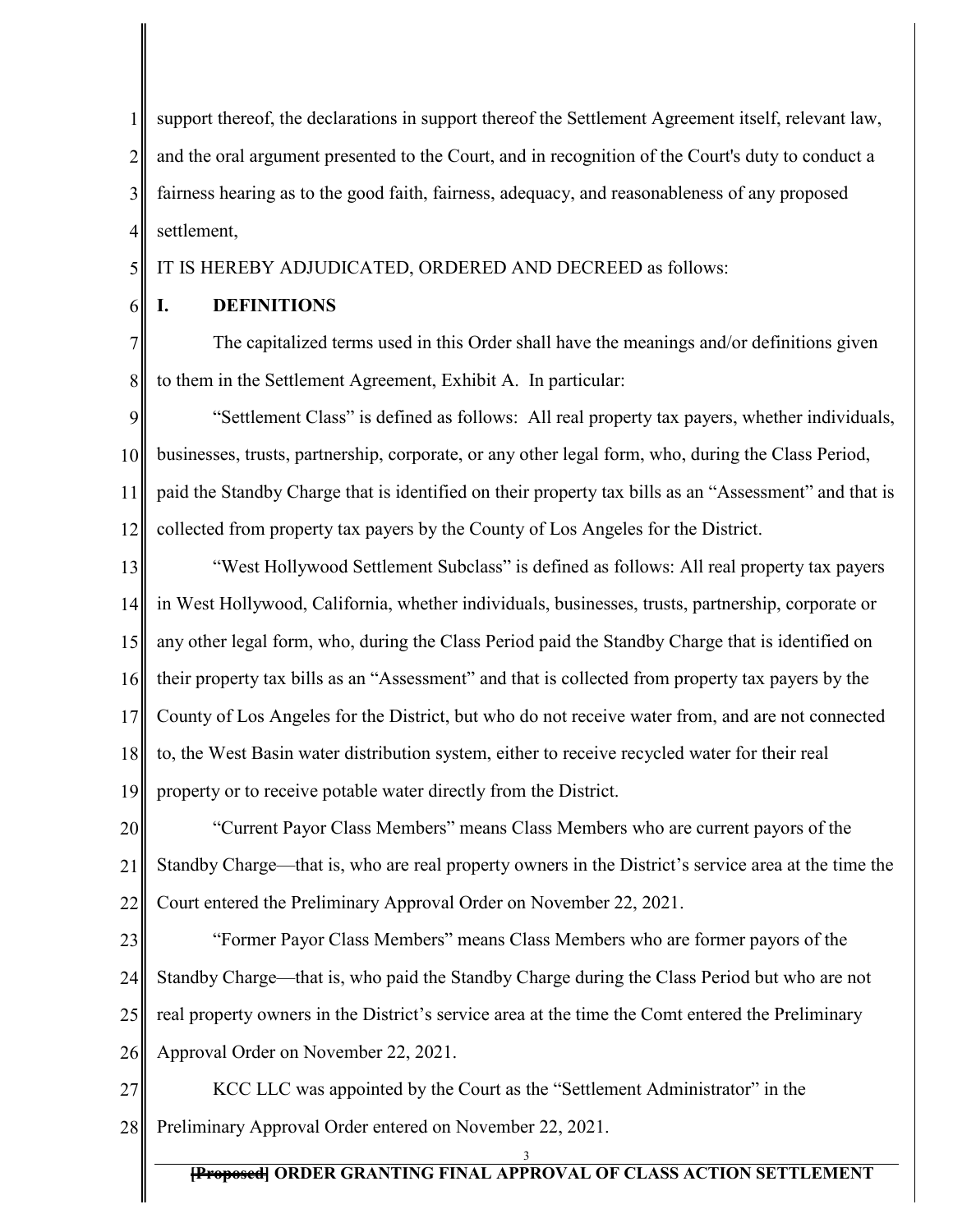1 2 3 4 support thereof, the declarations in support thereof the Settlement Agreement itself, relevant law, and the oral argument presented to the Court, and in recognition of the Court's duty to conduct a fairness hearing as to the good faith, fairness, adequacy, and reasonableness of any proposed settlement,

5 IT IS HEREBY ADJUDICATED, ORDERED AND DECREED as follows:

6

7

8

# **I. DEFINITIONS**

The capitalized terms used in this Order shall have the meanings and/or definitions given to them in the Settlement Agreement, Exhibit A. In particular:

9 10 11 12 "Settlement Class" is defined as follows: All real property tax payers, whether individuals, businesses, trusts, partnership, corporate, or any other legal form, who, during the Class Period, paid the Standby Charge that is identified on their property tax bills as an "Assessment" and that is collected from property tax payers by the County of Los Angeles for the District.

13 14 15 16 17 18 19 "West Hollywood Settlement Subclass" is defined as follows: All real property tax payers in West Hollywood, California, whether individuals, businesses, trusts, partnership, corporate or any other legal form, who, during the Class Period paid the Standby Charge that is identified on their property tax bills as an "Assessment" and that is collected from property tax payers by the County of Los Angeles for the District, but who do not receive water from, and are not connected to, the West Basin water distribution system, either to receive recycled water for their real property or to receive potable water directly from the District.

20 21 22 "Current Payor Class Members" means Class Members who are current payors of the Standby Charge—that is, who are real property owners in the District's service area at the time the Court entered the Preliminary Approval Order on November 22, 2021.

23 24 25 26 "Former Payor Class Members" means Class Members who are former payors of the Standby Charge—that is, who paid the Standby Charge during the Class Period but who are not real property owners in the District's service area at the time the Comt entered the Preliminary Approval Order on November 22, 2021.

27 28 KCC LLC was appointed by the Court as the "Settlement Administrator" in the Preliminary Approval Order entered on November 22, 2021.

**[Proposed] ORDER GRANTING FINAL APPROVAL OF CLASS ACTION SETTLEMENT**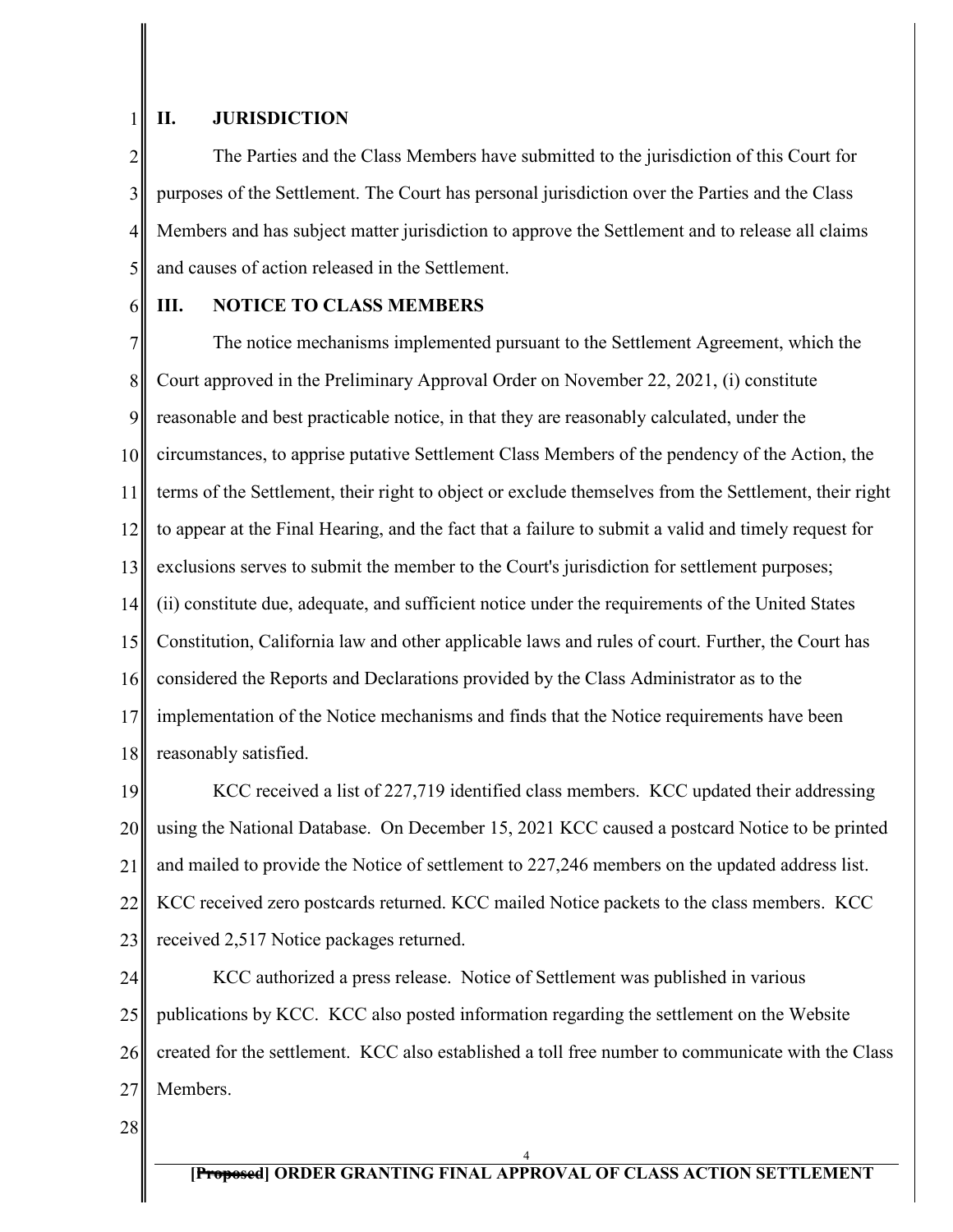### **II. JURISDICTION**

2 3 4 5 The Parties and the Class Members have submitted to the jurisdiction of this Court for purposes of the Settlement. The Court has personal jurisdiction over the Parties and the Class Members and has subject matter jurisdiction to approve the Settlement and to release all claims and causes of action released in the Settlement.

6

1

# **III. NOTICE TO CLASS MEMBERS**

7 8 9 10 11 12 13 14 15 16 17 18 The notice mechanisms implemented pursuant to the Settlement Agreement, which the Court approved in the Preliminary Approval Order on November 22, 2021, (i) constitute reasonable and best practicable notice, in that they are reasonably calculated, under the circumstances, to apprise putative Settlement Class Members of the pendency of the Action, the terms of the Settlement, their right to object or exclude themselves from the Settlement, their right to appear at the Final Hearing, and the fact that a failure to submit a valid and timely request for exclusions serves to submit the member to the Court's jurisdiction for settlement purposes; (ii) constitute due, adequate, and sufficient notice under the requirements of the United States Constitution, California law and other applicable laws and rules of court. Further, the Court has considered the Reports and Declarations provided by the Class Administrator as to the implementation of the Notice mechanisms and finds that the Notice requirements have been reasonably satisfied.

19 20 21 22 23 KCC received a list of 227,719 identified class members. KCC updated their addressing using the National Database. On December 15, 2021 KCC caused a postcard Notice to be printed and mailed to provide the Notice of settlement to 227,246 members on the updated address list. KCC received zero postcards returned. KCC mailed Notice packets to the class members. KCC received 2,517 Notice packages returned.

24 25 26 27 KCC authorized a press release. Notice of Settlement was published in various publications by KCC. KCC also posted information regarding the settlement on the Website created for the settlement. KCC also established a toll free number to communicate with the Class Members.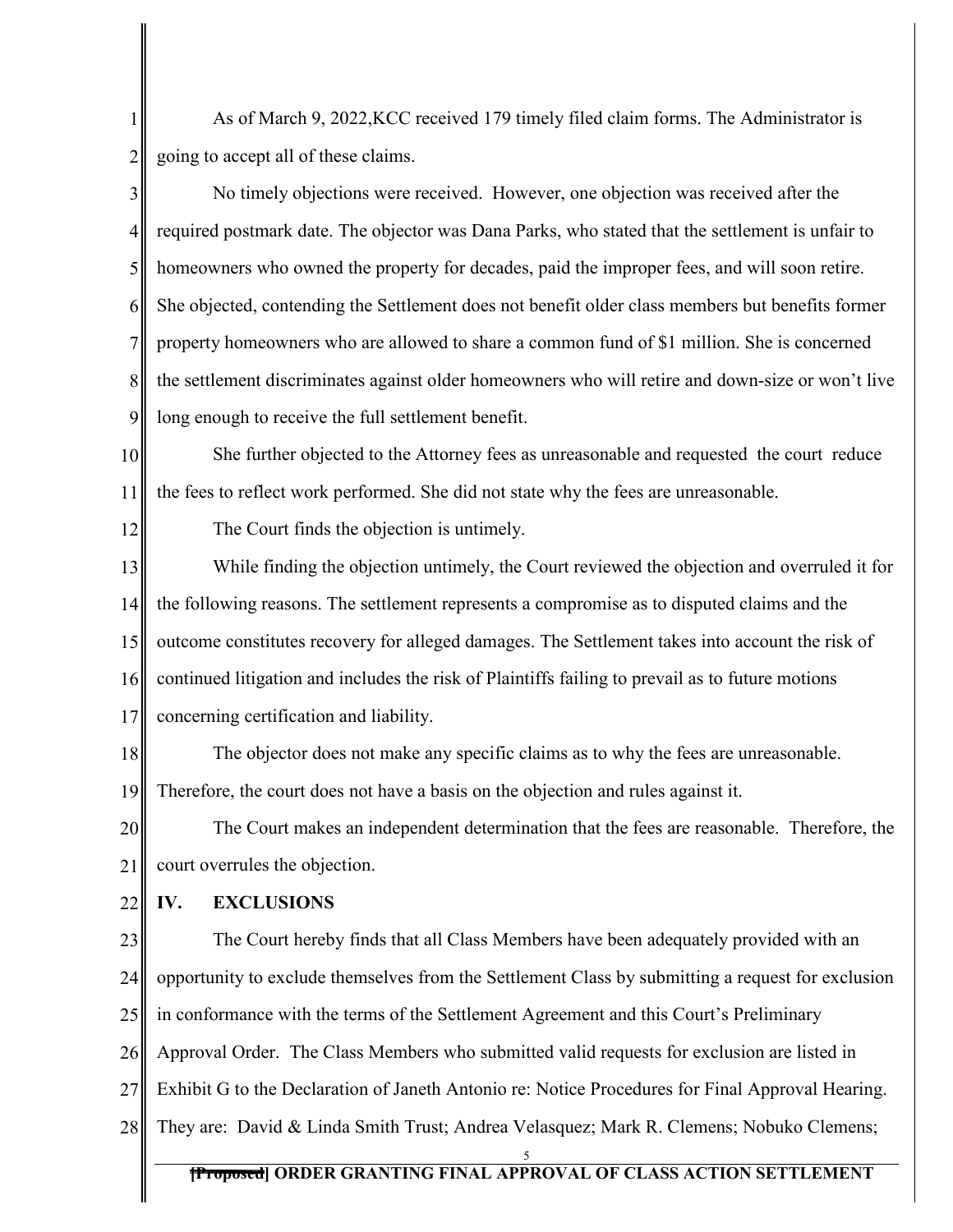1 2 As of March 9, 2022,KCC received 179 timely filed claim forms. The Administrator is going to accept all of these claims.

3 4 5 6 7 8 9 No timely objections were received. However, one objection was received after the required postmark date. The objector was Dana Parks, who stated that the settlement is unfair to homeowners who owned the property for decades, paid the improper fees, and will soon retire. She objected, contending the Settlement does not benefit older class members but benefits former property homeowners who are allowed to share a common fund of \$1 million. She is concerned the settlement discriminates against older homeowners who will retire and down-size or won't live long enough to receive the full settlement benefit.

10 11 She further objected to the Attorney fees as unreasonable and requested the court reduce the fees to reflect work performed. She did not state why the fees are unreasonable.

12

The Court finds the objection is untimely.

13 14 15 16 17 While finding the objection untimely, the Court reviewed the objection and overruled it for the following reasons. The settlement represents a compromise as to disputed claims and the outcome constitutes recovery for alleged damages. The Settlement takes into account the risk of continued litigation and includes the risk of Plaintiffs failing to prevail as to future motions concerning certification and liability.

18 19 The objector does not make any specific claims as to why the fees are unreasonable. Therefore, the court does not have a basis on the objection and rules against it.

20 21 The Court makes an independent determination that the fees are reasonable. Therefore, the court overrules the objection.

22 **IV. EXCLUSIONS**

23 24 25 26 27 28 The Court hereby finds that all Class Members have been adequately provided with an opportunity to exclude themselves from the Settlement Class by submitting a request for exclusion in conformance with the terms of the Settlement Agreement and this Court's Preliminary Approval Order. The Class Members who submitted valid requests for exclusion are listed in Exhibit G to the Declaration of Janeth Antonio re: Notice Procedures for Final Approval Hearing. They are: David & Linda Smith Trust; Andrea Velasquez; Mark R. Clemens; Nobuko Clemens;

#### **[Proposed] ORDER GRANTING FINAL APPROVAL OF CLASS ACTION SETTLEMENT** 5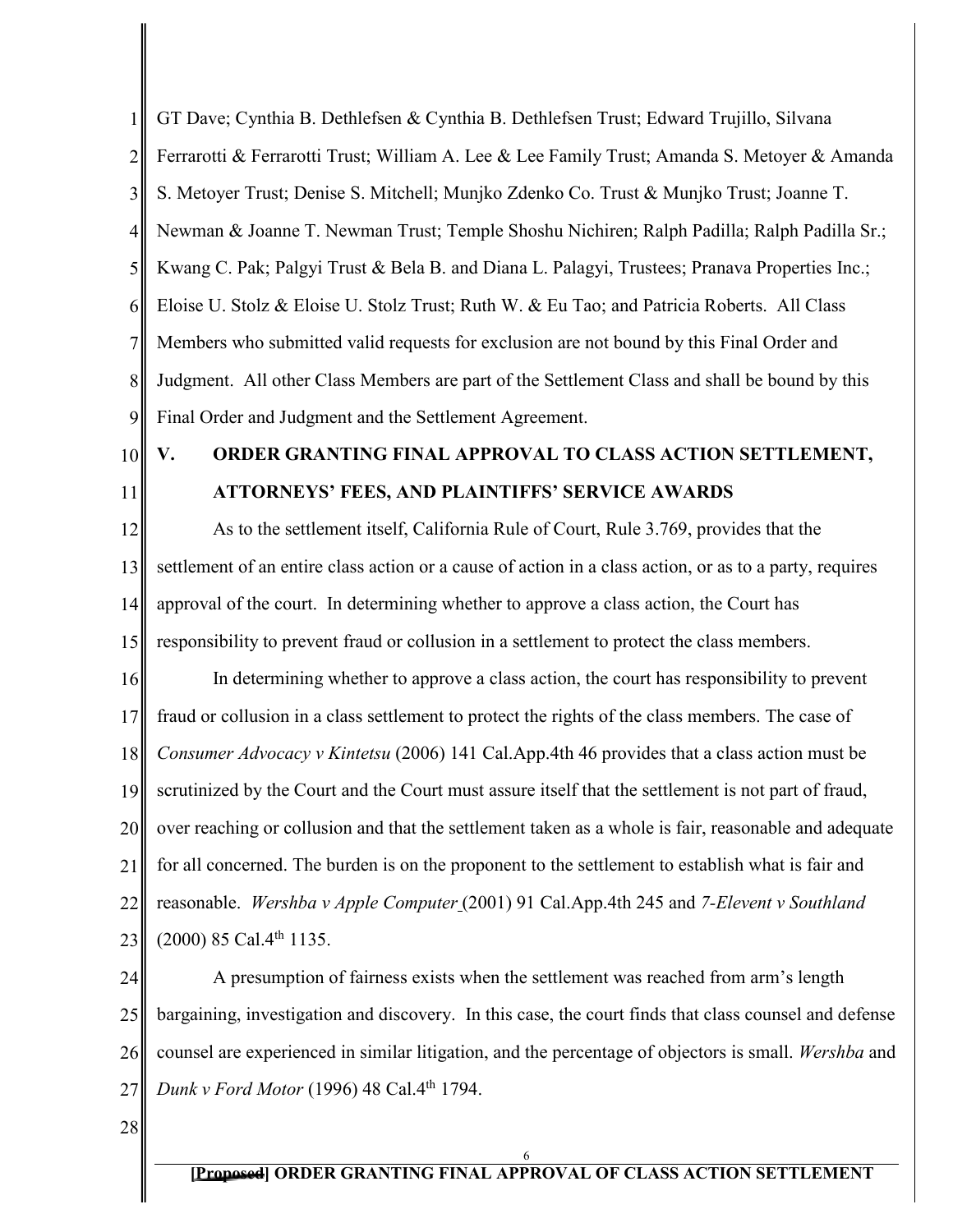1 2 3 4 5 6 7 8 9 GT Dave; Cynthia B. Dethlefsen & Cynthia B. Dethlefsen Trust; Edward Trujillo, Silvana Ferrarotti & Ferrarotti Trust; William A. Lee & Lee Family Trust; Amanda S. Metoyer & Amanda S. Metoyer Trust; Denise S. Mitchell; Munjko Zdenko Co. Trust & Munjko Trust; Joanne T. Newman & Joanne T. Newman Trust; Temple Shoshu Nichiren; Ralph Padilla; Ralph Padilla Sr.; Kwang C. Pak; Palgyi Trust & Bela B. and Diana L. Palagyi, Trustees; Pranava Properties Inc.; Eloise U. Stolz & Eloise U. Stolz Trust; Ruth W. & Eu Tao; and Patricia Roberts. All Class Members who submitted valid requests for exclusion are not bound by this Final Order and Judgment. All other Class Members are part of the Settlement Class and shall be bound by this Final Order and Judgment and the Settlement Agreement.

10 11

# **V. ORDER GRANTING FINAL APPROVAL TO CLASS ACTION SETTLEMENT, ATTORNEYS' FEES, AND PLAINTIFFS' SERVICE AWARDS**

12 13 14 15 As to the settlement itself, California Rule of Court, Rule 3.769, provides that the settlement of an entire class action or a cause of action in a class action, or as to a party, requires approval of the court. In determining whether to approve a class action, the Court has responsibility to prevent fraud or collusion in a settlement to protect the class members.

16 17 18 19 20 21 22 23 In determining whether to approve a class action, the court has responsibility to prevent fraud or collusion in a class settlement to protect the rights of the class members. The case of *Consumer Advocacy v Kintetsu* (2006) 141 Cal.App.4th 46 provides that a class action must be scrutinized by the Court and the Court must assure itself that the settlement is not part of fraud, over reaching or collusion and that the settlement taken as a whole is fair, reasonable and adequate for all concerned. The burden is on the proponent to the settlement to establish what is fair and reasonable. *Wershba v Apple Computer* (2001) 91 Cal.App.4th 245 and *7-Elevent v Southland*  $(2000)$  85 Cal.4<sup>th</sup> 1135.

24 25 26 27 A presumption of fairness exists when the settlement was reached from arm's length bargaining, investigation and discovery. In this case, the court finds that class counsel and defense counsel are experienced in similar litigation, and the percentage of objectors is small. *Wershba* and *Dunk v Ford Motor* (1996) 48 Cal.4th 1794.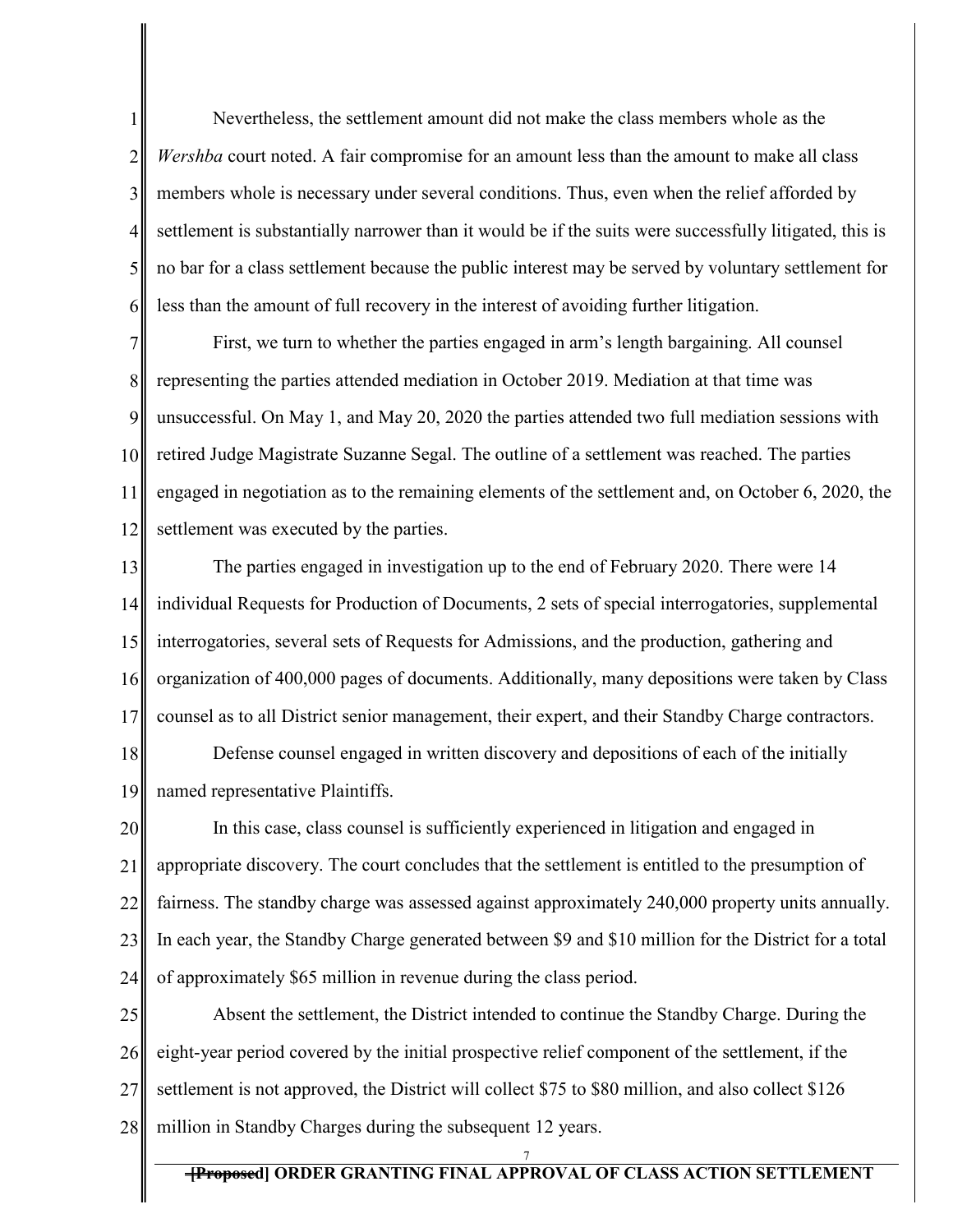6 Nevertheless, the settlement amount did not make the class members whole as the *Wershba* court noted. A fair compromise for an amount less than the amount to make all class members whole is necessary under several conditions. Thus, even when the relief afforded by settlement is substantially narrower than it would be if the suits were successfully litigated, this is no bar for a class settlement because the public interest may be served by voluntary settlement for less than the amount of full recovery in the interest of avoiding further litigation.

1

2

3

4

5

7 8 9 10 11 12 First, we turn to whether the parties engaged in arm's length bargaining. All counsel representing the parties attended mediation in October 2019. Mediation at that time was unsuccessful. On May 1, and May 20, 2020 the parties attended two full mediation sessions with retired Judge Magistrate Suzanne Segal. The outline of a settlement was reached. The parties engaged in negotiation as to the remaining elements of the settlement and, on October 6, 2020, the settlement was executed by the parties.

13 14 15 16 17 The parties engaged in investigation up to the end of February 2020. There were 14 individual Requests for Production of Documents, 2 sets of special interrogatories, supplemental interrogatories, several sets of Requests for Admissions, and the production, gathering and organization of 400,000 pages of documents. Additionally, many depositions were taken by Class counsel as to all District senior management, their expert, and their Standby Charge contractors.

18 19 Defense counsel engaged in written discovery and depositions of each of the initially named representative Plaintiffs.

20 21 22 23 24 In this case, class counsel is sufficiently experienced in litigation and engaged in appropriate discovery. The court concludes that the settlement is entitled to the presumption of fairness. The standby charge was assessed against approximately 240,000 property units annually. In each year, the Standby Charge generated between \$9 and \$10 million for the District for a total of approximately \$65 million in revenue during the class period.

25 26 27 28 Absent the settlement, the District intended to continue the Standby Charge. During the eight-year period covered by the initial prospective relief component of the settlement, if the settlement is not approved, the District will collect \$75 to \$80 million, and also collect \$126 million in Standby Charges during the subsequent 12 years.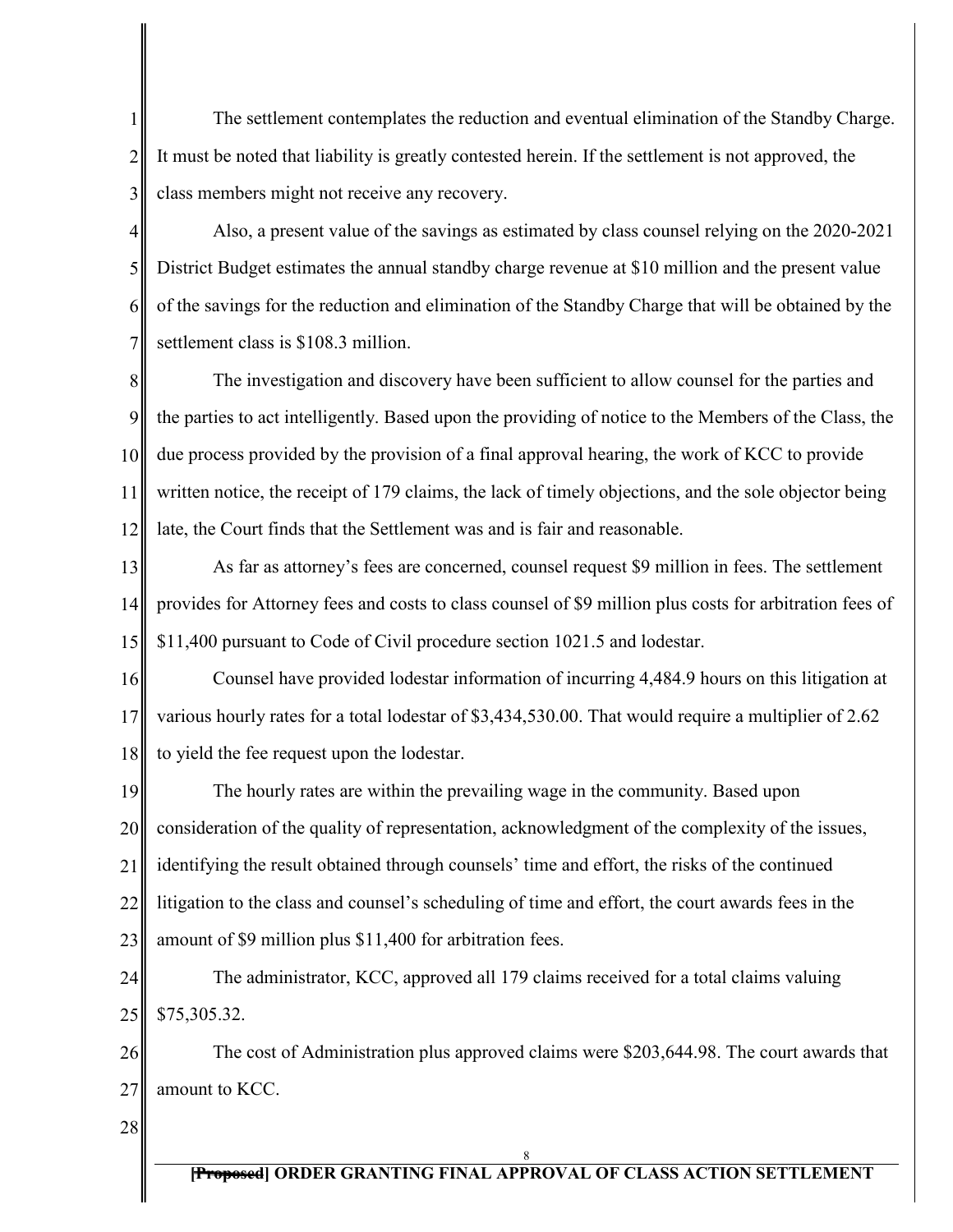The settlement contemplates the reduction and eventual elimination of the Standby Charge. It must be noted that liability is greatly contested herein. If the settlement is not approved, the class members might not receive any recovery.

4 5 6 7 Also, a present value of the savings as estimated by class counsel relying on the 2020-2021 District Budget estimates the annual standby charge revenue at \$10 million and the present value of the savings for the reduction and elimination of the Standby Charge that will be obtained by the settlement class is \$108.3 million.

8 9 10 11 12 The investigation and discovery have been sufficient to allow counsel for the parties and the parties to act intelligently. Based upon the providing of notice to the Members of the Class, the due process provided by the provision of a final approval hearing, the work of KCC to provide written notice, the receipt of 179 claims, the lack of timely objections, and the sole objector being late, the Court finds that the Settlement was and is fair and reasonable.

13 14 15 As far as attorney's fees are concerned, counsel request \$9 million in fees. The settlement provides for Attorney fees and costs to class counsel of \$9 million plus costs for arbitration fees of \$11,400 pursuant to Code of Civil procedure section 1021.5 and lodestar.

16 17 18 Counsel have provided lodestar information of incurring 4,484.9 hours on this litigation at various hourly rates for a total lodestar of \$3,434,530.00. That would require a multiplier of 2.62 to yield the fee request upon the lodestar.

19 20 21 22 23 The hourly rates are within the prevailing wage in the community. Based upon consideration of the quality of representation, acknowledgment of the complexity of the issues, identifying the result obtained through counsels' time and effort, the risks of the continued litigation to the class and counsel's scheduling of time and effort, the court awards fees in the amount of \$9 million plus \$11,400 for arbitration fees.

24 25 The administrator, KCC, approved all 179 claims received for a total claims valuing \$75,305.32.

26 27 The cost of Administration plus approved claims were \$203,644.98. The court awards that amount to KCC.

28

1

2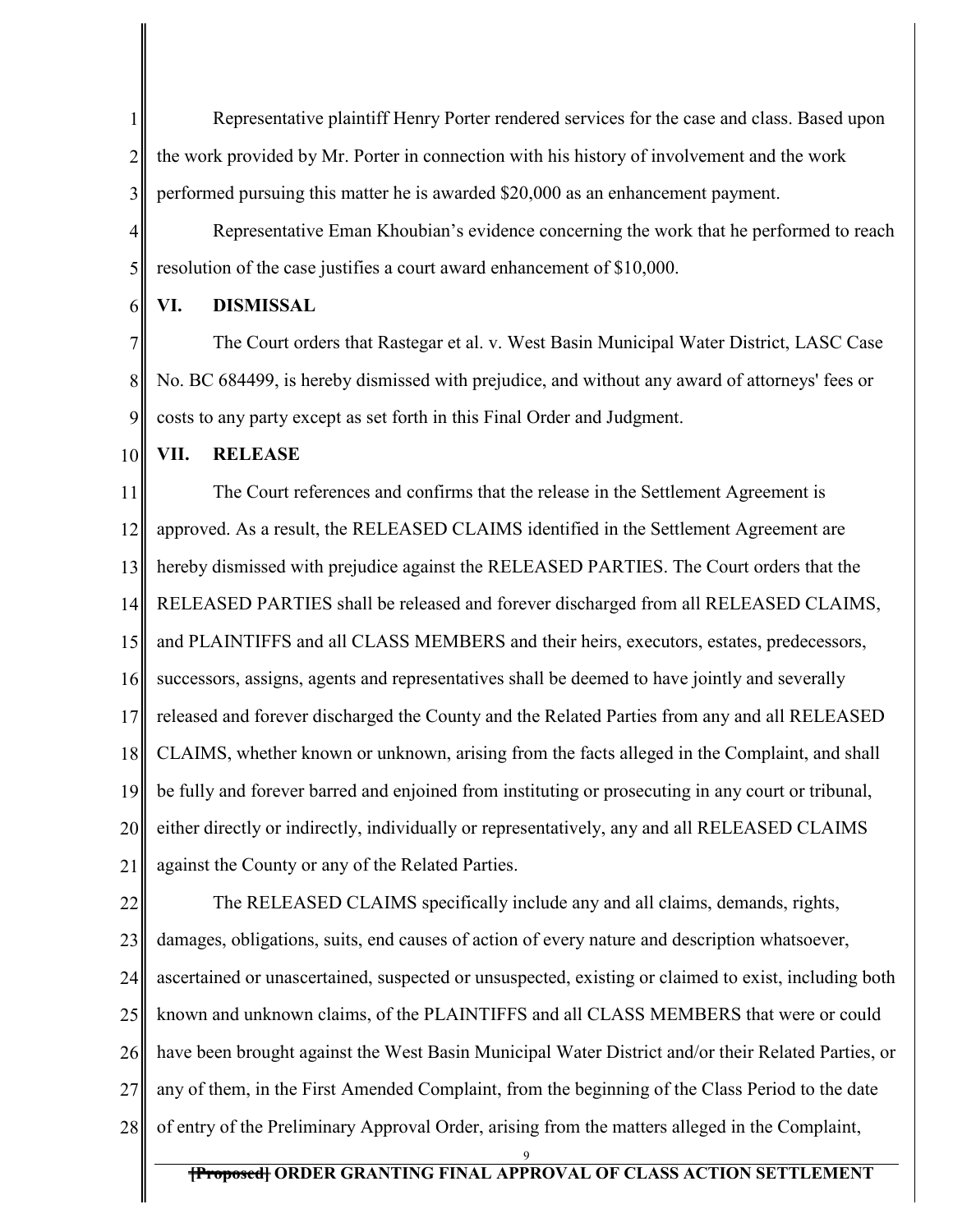1 2 3 Representative plaintiff Henry Porter rendered services for the case and class. Based upon the work provided by Mr. Porter in connection with his history of involvement and the work performed pursuing this matter he is awarded \$20,000 as an enhancement payment.

4 5 Representative Eman Khoubian's evidence concerning the work that he performed to reach resolution of the case justifies a court award enhancement of \$10,000.

### **VI. DISMISSAL**

7 8 9 The Court orders that Rastegar et al. v. West Basin Municipal Water District, LASC Case No. BC 684499, is hereby dismissed with prejudice, and without any award of attorneys' fees or costs to any party except as set forth in this Final Order and Judgment.

10 **VII. RELEASE**

6

11 12 13 14 15 16 17 18 19 20 21 The Court references and confirms that the release in the Settlement Agreement is approved. As a result, the RELEASED CLAIMS identified in the Settlement Agreement are hereby dismissed with prejudice against the RELEASED PARTIES. The Court orders that the RELEASED PARTIES shall be released and forever discharged from all RELEASED CLAIMS, and PLAINTIFFS and all CLASS MEMBERS and their heirs, executors, estates, predecessors, successors, assigns, agents and representatives shall be deemed to have jointly and severally released and forever discharged the County and the Related Parties from any and all RELEASED CLAIMS, whether known or unknown, arising from the facts alleged in the Complaint, and shall be fully and forever barred and enjoined from instituting or prosecuting in any court or tribunal, either directly or indirectly, individually or representatively, any and all RELEASED CLAIMS against the County or any of the Related Parties.

22 23 24 25 26 27 28 The RELEASED CLAIMS specifically include any and all claims, demands, rights, damages, obligations, suits, end causes of action of every nature and description whatsoever, ascertained or unascertained, suspected or unsuspected, existing or claimed to exist, including both known and unknown claims, of the PLAINTIFFS and all CLASS MEMBERS that were or could have been brought against the West Basin Municipal Water District and/or their Related Parties, or any of them, in the First Amended Complaint, from the beginning of the Class Period to the date of entry of the Preliminary Approval Order, arising from the matters alleged in the Complaint,

9

# **[Proposed] ORDER GRANTING FINAL APPROVAL OF CLASS ACTION SETTLEMENT**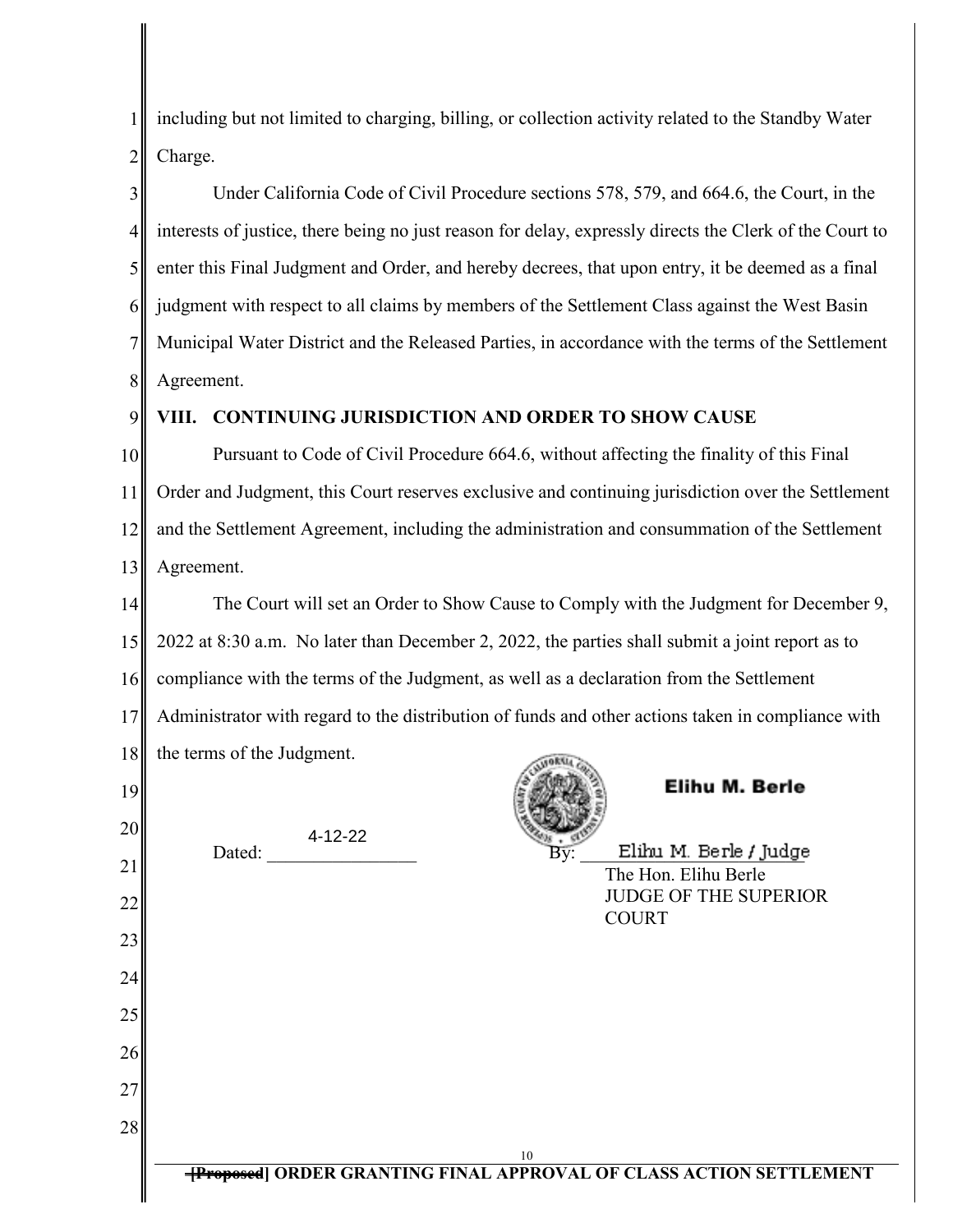1 2 including but not limited to charging, billing, or collection activity related to the Standby Water Charge.

3 4 5 6 7 8 Under California Code of Civil Procedure sections 578, 579, and 664.6, the Court, in the interests of justice, there being no just reason for delay, expressly directs the Clerk of the Court to enter this Final Judgment and Order, and hereby decrees, that upon entry, it be deemed as a final judgment with respect to all claims by members of the Settlement Class against the West Basin Municipal Water District and the Released Parties, in accordance with the terms of the Settlement Agreement.

9

21

22

23

24

25

26

27

28

# **VIII. CONTINUING JURISDICTION AND ORDER TO SHOW CAUSE**

10 11 12 13 Pursuant to Code of Civil Procedure 664.6, without affecting the finality of this Final Order and Judgment, this Court reserves exclusive and continuing jurisdiction over the Settlement and the Settlement Agreement, including the administration and consummation of the Settlement Agreement.

The Court will set an Order to Show Cause to Comply with the Judgment for December 9, 14 15 2022 at 8:30 a.m. No later than December 2, 2022, the parties shall submit a joint report as to compliance with the terms of the Judgment, as well as a declaration from the Settlement 16 17 Administrator with regard to the distribution of funds and other actions taken in compliance with 18 the terms of the Judgment. Elihu M. Berle 19 20  $1 - \text{FFGFG}$ 

Dated:  $\overline{By}$ : Elihu M. Berle / Judge The Hon. Elihu Berle JUDGE OF THE SUPERIOR **COURT**